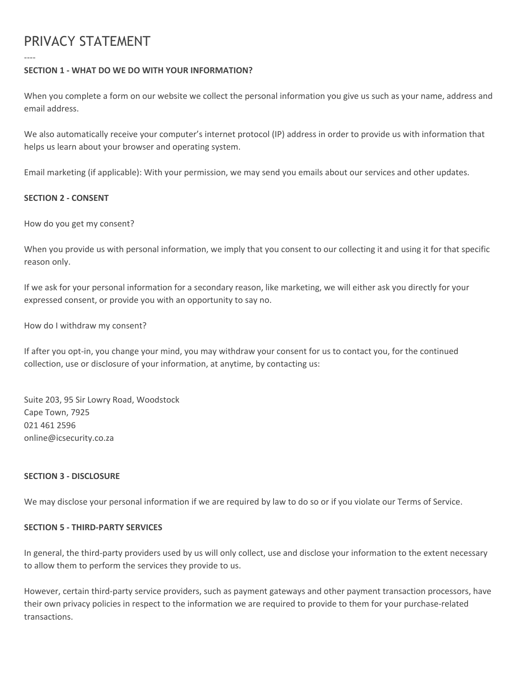# PRIVACY STATEMENT

----

## **SECTION 1 - WHAT DO WE DO WITH YOUR INFORMATION?**

When you complete a form on our website we collect the personal information you give us such as your name, address and email address.

We also automatically receive your computer's internet protocol (IP) address in order to provide us with information that helps us learn about your browser and operating system.

Email marketing (if applicable): With your permission, we may send you emails about our services and other updates.

## **SECTION 2 - CONSENT**

How do you get my consent?

When you provide us with personal information, we imply that you consent to our collecting it and using it for that specific reason only.

If we ask for your personal information for a secondary reason, like marketing, we will either ask you directly for your expressed consent, or provide you with an opportunity to say no.

How do I withdraw my consent?

If after you opt-in, you change your mind, you may withdraw your consent for us to contact you, for the continued collection, use or disclosure of your information, at anytime, by contacting us:

Suite 203, 95 Sir Lowry Road, Woodstock Cape Town, 7925 021 461 2596 online@icsecurity.co.za

#### **SECTION 3 - DISCLOSURE**

We may disclose your personal information if we are required by law to do so or if you violate our Terms of Service.

#### **SECTION 5 - THIRD-PARTY SERVICES**

In general, the third-party providers used by us will only collect, use and disclose your information to the extent necessary to allow them to perform the services they provide to us.

However, certain third-party service providers, such as payment gateways and other payment transaction processors, have their own privacy policies in respect to the information we are required to provide to them for your purchase-related transactions.